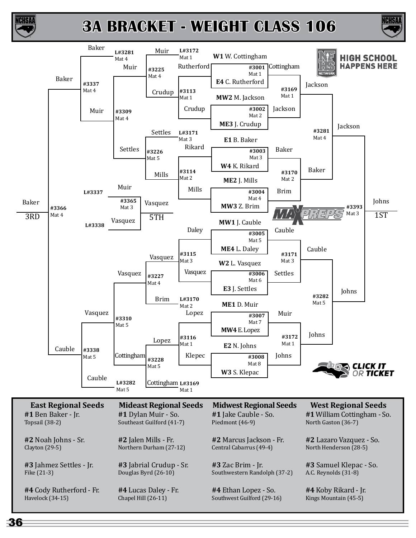

ICHSAI

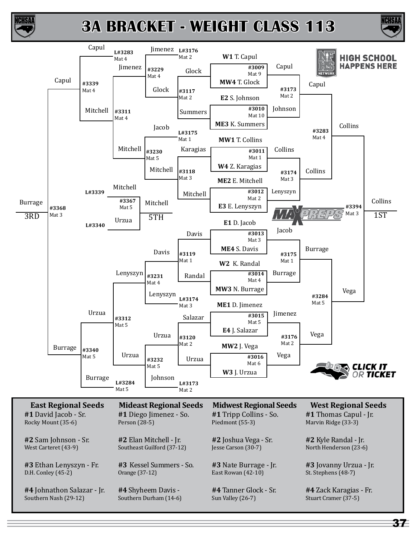



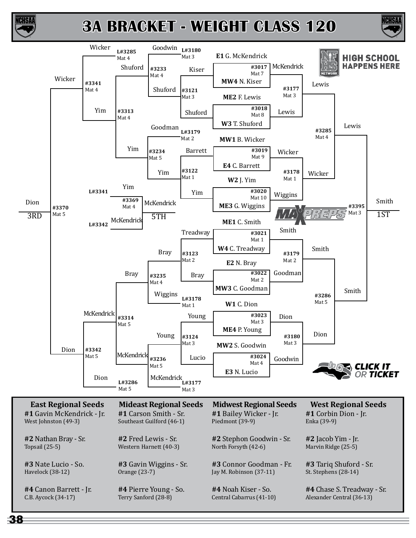

ICHSAA

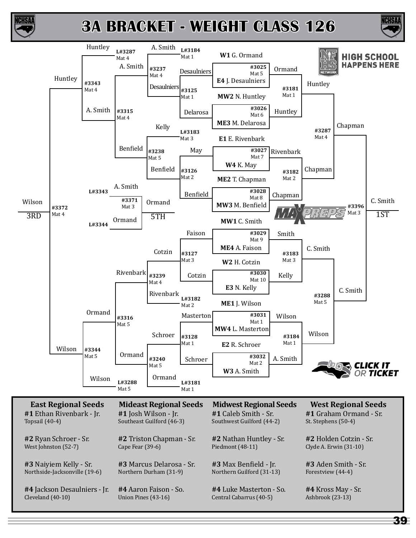



ICHSA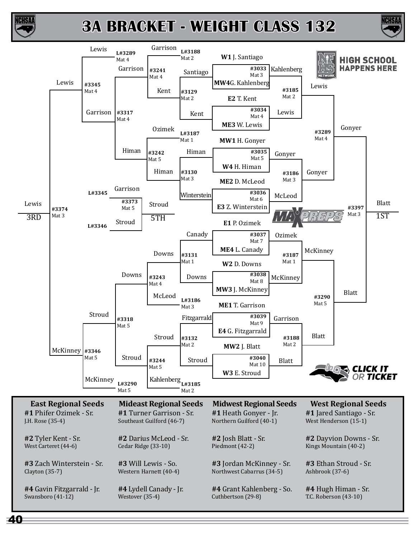

ICHSA

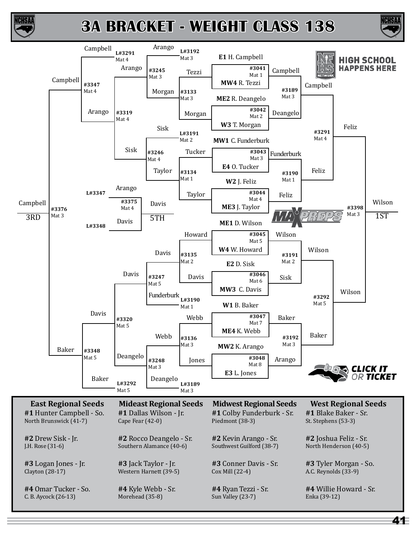



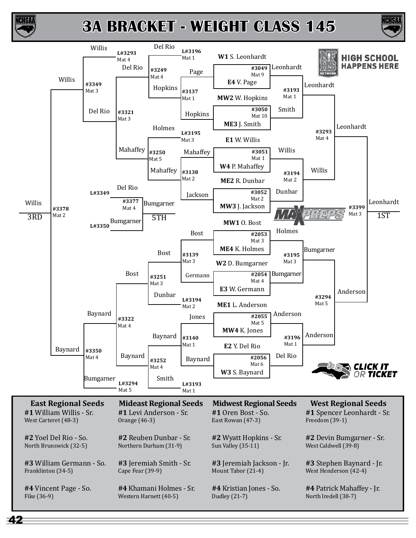

**ICHSA** 



42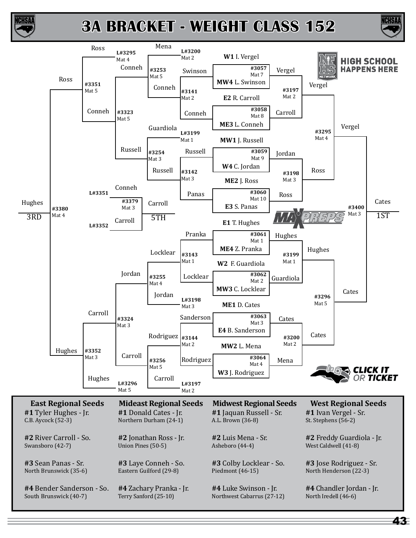



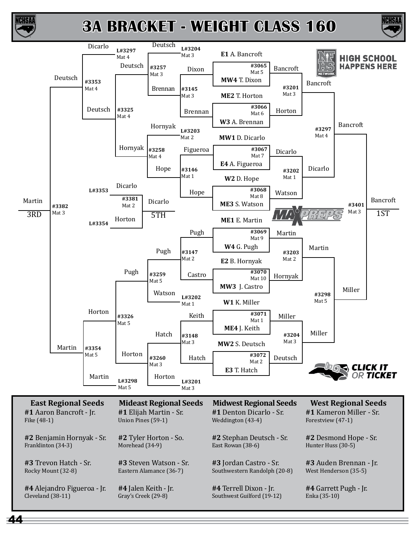





44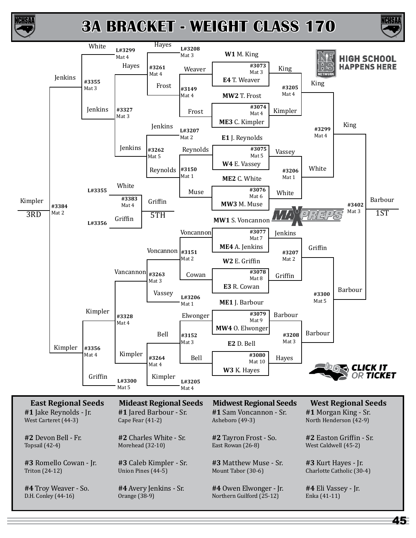



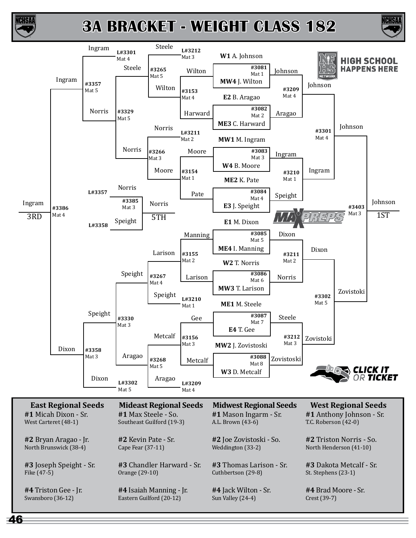

**CHSA** 



46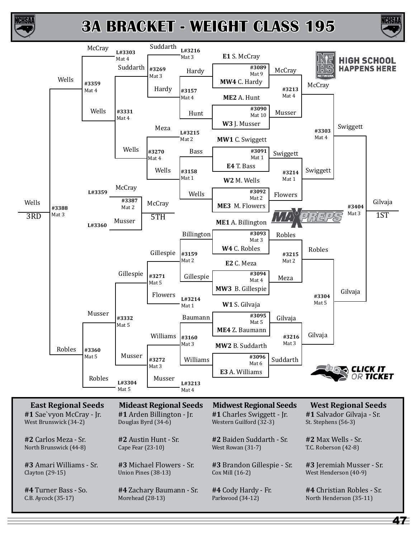



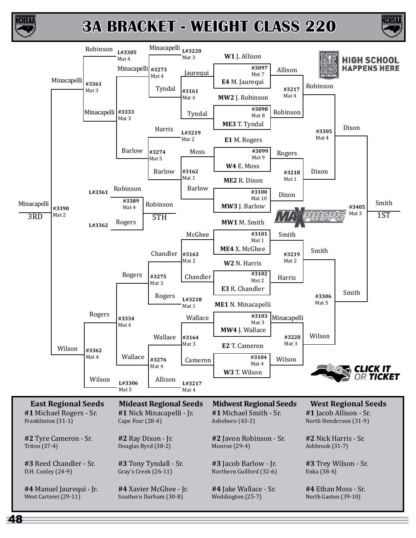